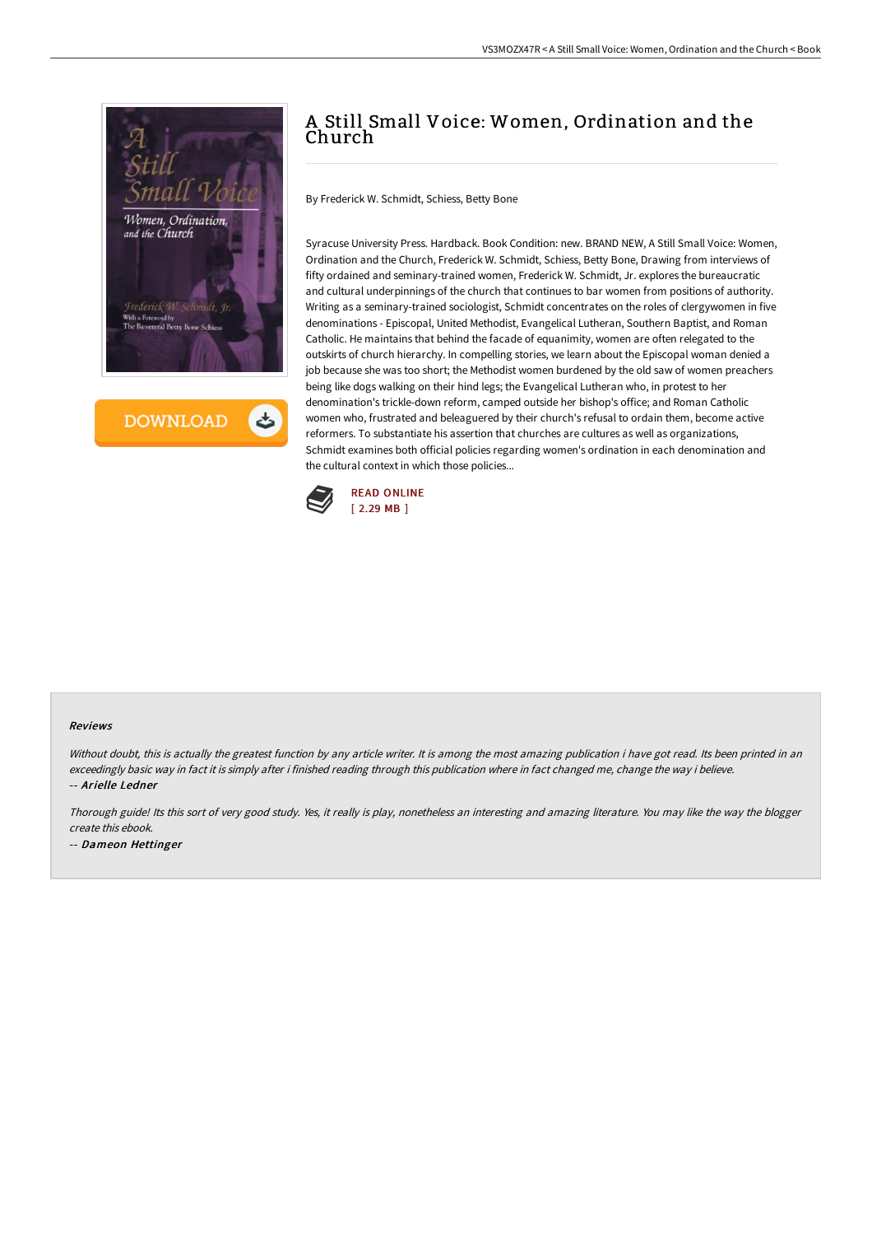

**DOWNLOAD** 

# A Still Small Voice: Women, Ordination and the Church

By Frederick W. Schmidt, Schiess, Betty Bone

Syracuse University Press. Hardback. Book Condition: new. BRAND NEW, A Still Small Voice: Women, Ordination and the Church, Frederick W. Schmidt, Schiess, Betty Bone, Drawing from interviews of fifty ordained and seminary-trained women, Frederick W. Schmidt, Jr. explores the bureaucratic and cultural underpinnings of the church that continues to bar women from positions of authority. Writing as a seminary-trained sociologist, Schmidt concentrates on the roles of clergywomen in five denominations - Episcopal, United Methodist, Evangelical Lutheran, Southern Baptist, and Roman Catholic. He maintains that behind the facade of equanimity, women are often relegated to the outskirts of church hierarchy. In compelling stories, we learn about the Episcopal woman denied a job because she was too short; the Methodist women burdened by the old saw of women preachers being like dogs walking on their hind legs; the Evangelical Lutheran who, in protest to her denomination's trickle-down reform, camped outside her bishop's office; and Roman Catholic women who, frustrated and beleaguered by their church's refusal to ordain them, become active reformers. To substantiate his assertion that churches are cultures as well as organizations, Schmidt examines both official policies regarding women's ordination in each denomination and the cultural context in which those policies...



#### Reviews

Without doubt, this is actually the greatest function by any article writer. It is among the most amazing publication i have got read. Its been printed in an exceedingly basic way in fact it is simply after i finished reading through this publication where in fact changed me, change the way i believe. -- Arielle Ledner

Thorough guide! Its this sort of very good study. Yes, it really is play, nonetheless an interesting and amazing literature. You may like the way the blogger create this ebook.

-- Dameon Hettinger